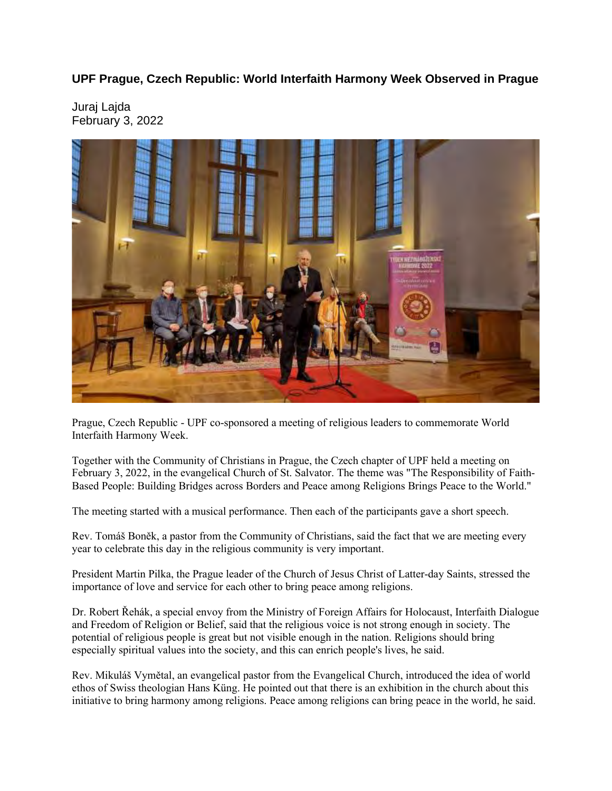## **UPF Prague, Czech Republic: World Interfaith Harmony Week Observed in Prague**

Juraj Lajda February 3, 2022



Prague, Czech Republic - UPF co-sponsored a meeting of religious leaders to commemorate World Interfaith Harmony Week.

Together with the Community of Christians in Prague, the Czech chapter of UPF held a meeting on February 3, 2022, in the evangelical Church of St. Salvator. The theme was "The Responsibility of Faith-Based People: Building Bridges across Borders and Peace among Religions Brings Peace to the World."

The meeting started with a musical performance. Then each of the participants gave a short speech.

Rev. Tomáš Boněk, a pastor from the Community of Christians, said the fact that we are meeting every year to celebrate this day in the religious community is very important.

President Martin Pilka, the Prague leader of the Church of Jesus Christ of Latter-day Saints, stressed the importance of love and service for each other to bring peace among religions.

Dr. Robert Řehák, a special envoy from the Ministry of Foreign Affairs for Holocaust, Interfaith Dialogue and Freedom of Religion or Belief, said that the religious voice is not strong enough in society. The potential of religious people is great but not visible enough in the nation. Religions should bring especially spiritual values into the society, and this can enrich people's lives, he said.

Rev. Mikuláš Vymětal, an evangelical pastor from the Evangelical Church, introduced the idea of world ethos of Swiss theologian Hans Küng. He pointed out that there is an exhibition in the church about this initiative to bring harmony among religions. Peace among religions can bring peace in the world, he said.